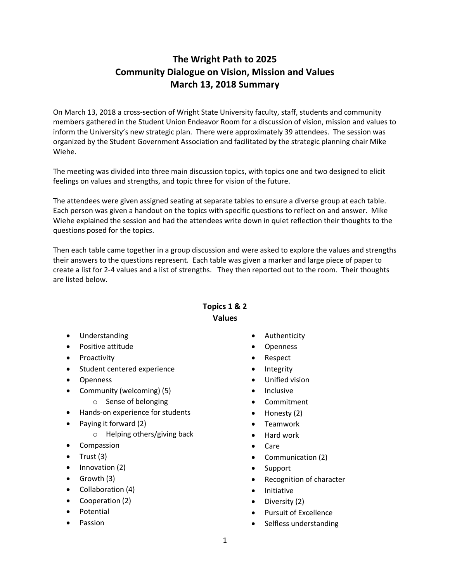## **The Wright Path to 2025 Community Dialogue on Vision, Mission and Values March 13, 2018 Summary**

On March 13, 2018 a cross-section of Wright State University faculty, staff, students and community members gathered in the Student Union Endeavor Room for a discussion of vision, mission and values to inform the University's new strategic plan. There were approximately 39 attendees. The session was organized by the Student Government Association and facilitated by the strategic planning chair Mike Wiehe.

The meeting was divided into three main discussion topics, with topics one and two designed to elicit feelings on values and strengths, and topic three for vision of the future.

The attendees were given assigned seating at separate tables to ensure a diverse group at each table. Each person was given a handout on the topics with specific questions to reflect on and answer. Mike Wiehe explained the session and had the attendees write down in quiet reflection their thoughts to the questions posed for the topics.

Then each table came together in a group discussion and were asked to explore the values and strengths their answers to the questions represent. Each table was given a marker and large piece of paper to create a list for 2-4 values and a list of strengths. They then reported out to the room. Their thoughts are listed below.

## **Topics 1 & 2 Values**

- Understanding
- Positive attitude
- Proactivity
- Student centered experience
- Openness
- Community (welcoming) (5)
	- o Sense of belonging
- Hands-on experience for students
- Paying it forward (2)
	- o Helping others/giving back
- Compassion
- Trust  $(3)$
- Innovation (2)
- Growth (3)
- Collaboration (4)
- Cooperation (2)
- Potential
- Passion
- **Authenticity**
- **Openness**
- Respect
- **Integrity**
- Unified vision
- **Inclusive**
- Commitment
- Honesty (2)
- Teamwork
- Hard work
- Care
- Communication (2)
- Support
- Recognition of character
- Initiative
- Diversity (2)
- Pursuit of Excellence
- Selfless understanding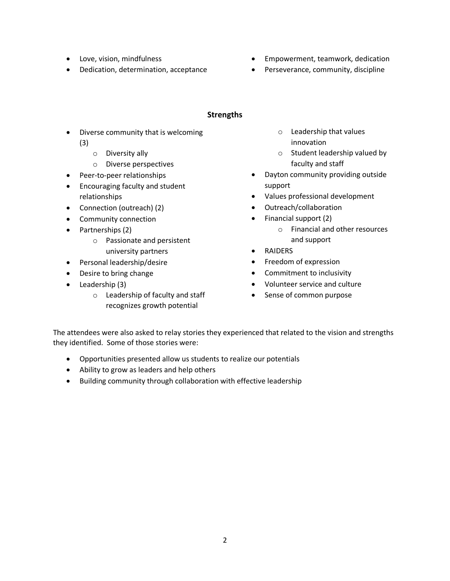- Love, vision, mindfulness
- Dedication, determination, acceptance
- Empowerment, teamwork, dedication
- Perseverance, community, discipline

## **Strengths**

- Diverse community that is welcoming (3)
	- o Diversity ally
	- o Diverse perspectives
- Peer-to-peer relationships
- Encouraging faculty and student relationships
- Connection (outreach) (2)
- Community connection
- Partnerships (2)
	- o Passionate and persistent university partners
- Personal leadership/desire
- Desire to bring change
- Leadership (3)
	- o Leadership of faculty and staff recognizes growth potential
- o Leadership that values innovation
- o Student leadership valued by faculty and staff
- Dayton community providing outside support
- Values professional development
- Outreach/collaboration
- Financial support (2)
	- o Financial and other resources and support
- RAIDERS
- Freedom of expression
- Commitment to inclusivity
- Volunteer service and culture
- Sense of common purpose

The attendees were also asked to relay stories they experienced that related to the vision and strengths they identified. Some of those stories were:

- Opportunities presented allow us students to realize our potentials
- Ability to grow as leaders and help others
- Building community through collaboration with effective leadership